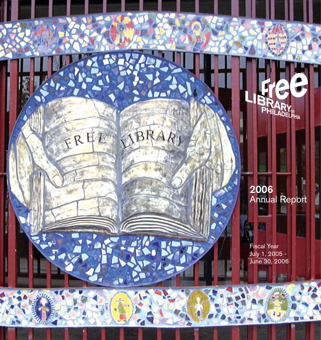2006 Annual Report

**PHILADELPHIA** 

FREE SIBRARI

A

Fiscal Year July 1, 2005 - June 30, 2006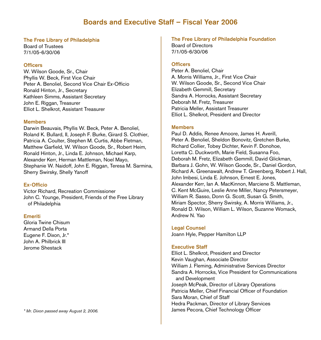### Boards and Executive Staff – Fiscal Year 2006

### The Free Library of Philadelphia

Board of Trustees 7/1/05-6/30/06

### **Officers**

W. Wilson Goode, Sr., Chair Phyllis W. Beck, First Vice Chair Peter A. Benoliel, Second Vice Chair Ex-Officio Ronald Hinton, Jr., Secretary Kathleen Simms, Assistant Secretary John E. Riggan, Treasurer Elliot L. Shelkrot, Assistant Treasurer

### **Members**

Darwin Beauvais, Phyllis W. Beck, Peter A. Benoliel, Roland K. Bullard, II, Joseph F. Burke, Girard S. Clothier, Patricia A. Coulter, Stephen M. Curtis, Abbe Fletman, Matthew Garfield, W. Wilson Goode, Sr., Robert Heim, Ronald Hinton, Jr., Linda E. Johnson, Michael Karp, Alexander Kerr, Herman Mattleman, Noel Mayo, Stephanie W. Naidoff, John E. Riggan, Teresa M. Sarmina, Sherry Swirsky, Shelly Yanoff

### Ex-Officio

Victor Richard, Recreation Commissioner John C. Younge, President, Friends of the Free Library of Philadelphia

### Emeriti

Gloria Twine Chisum Armand Della Porta Eugene F. Dixon, Jr.\* John A. Philbrick III Jerome Shestack

### The Free Library of Philadelphia Foundation

Board of Directors 7/1/05-6/30/06

### **Officers**

Peter A. Benoliel, Chair A. Morris Williams, Jr., First Vice Chair W. Wilson Goode, Sr., Second Vice Chair Elizabeth Gemmill, Secretary Sandra A. Horrocks, Assistant Secretary Deborah M. Fretz, Treasurer Patricia Meller, Assistant Treasurer Elliot L. Shelkrot, President and Director

### Members

Paul D. Addis, Renee Amoore, James H. Averill, Peter A. Benoliel, Sheldon Bonovitz, Gretchen Burke, Richard Collier, Tobey Dichter, Kevin F. Donohoe, Loretta C. Duckworth, Marie Field, Susanna Foo, Deborah M. Fretz, Elizabeth Gemmill, David Glickman, Barbara J. Gohn, W. Wilson Goode, Sr., Daniel Gordon, Richard A. Greenawalt, Andrew T. Greenberg, Robert J. Hall, John Imbesi, Linda E. Johnson, Ernest E. Jones, Alexander Kerr, Ian A. MacKinnon, Marciene S. Mattleman, C. Kent McGuire, Leslie Anne Miller, Nancy Petersmeyer, William R. Sasso, Donn G. Scott, Susan G. Smith, Miriam Spector, Sherry Swirsky, A. Morris Williams, Jr., Ronald D. Wilson, William L. Wilson, Suzanne Womack, Andrew N. Yao

### Legal Counsel

Joann Hyle, Pepper Hamilton LLP

### Executive Staff

Elliot L. Shelkrot, President and Director Kevin Vaughan, Associate Director William J. Fleming, Administrative Services Director Sandra A. Horrocks, Vice President for Communications and Development Joseph McPeak, Director of Library Operations Patricia Meller, Chief Financial Officer of Foundation Sara Moran, Chief of Staff Hedra Packman, Director of Library Services James Pecora, Chief Technology Officer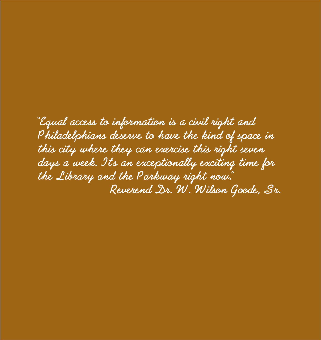**"Equal access to information is a civil right and Philadelphians deserve to have the kind of space in this city where they can exercise this right seven days a week. It's an exceptionally exciting time for the Library and the Parkway right now." Reverend Dr. W. Wilson Goode, Sr.**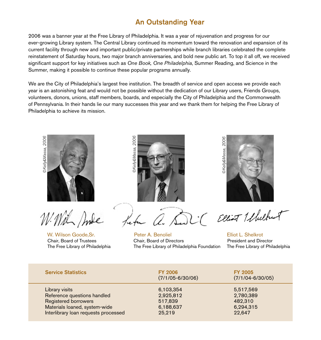# An Outstanding Year

2006 was a banner year at the Free Library of Philadelphia. It was a year of rejuvenation and progress for our ever-growing Library system. The Central Library continued its momentum toward the renovation and expansion of its current facility through new and important public/private partnerships while branch libraries celebrated the complete reinstatement of Saturday hours, two major branch anniversaries, and bold new public art. To top it all off, we received significant support for key initiatives such as *One Book, One Philadelphia*, Summer Reading, and Science in the Summer, making it possible to continue these popular programs annually.

We are the City of Philadelphia's largest free institution. The breadth of service and open access we provide each year is an astonishing feat and would not be possible without the dedication of our Library users, Friends Groups, volunteers, donors, unions, staff members, boards, and especially the City of Philadelphia and the Commonwealth of Pennsylvania. In their hands lie our many successes this year and we thank them for helping the Free Library of Philadelphia to achieve its mission.





W. Wilson Goode,Sr. Peter A. Benoliel Elliot L. Shelkrot Chair, Board of Trustees Chair, Board of Directors President and Director The Free Library of Philadelphia The Free Library of Philadelphia Foundation The Free Library of Philadelphia



| <b>Service Statistics</b><br><b>FY 2006</b><br><b>FY 2005</b><br>$(7/1/05 - 6/30/06)$<br>$(7/1/04 - 6/30/05)$<br>Library visits<br>6,103,354<br>5,517,569<br>Reference questions handled<br>2,925,812<br>2,780,389<br><b>Registered borrowers</b><br>482,310<br>517,839<br>Materials loaned, system-wide<br>6,188,637<br>6,294,315<br>Interlibrary loan requests processed<br>25,219<br>22,647 | ©Kelly&Massa, 2006<br>W. Wilson Goode, Sr.<br>Chair, Board of Trustees<br>The Free Library of Philadelphia | 2006<br>2006<br>DKelly&Massa,<br>©Kelly&Massa,<br>- a. Sun Clear Whichut<br>Peter A. Benoliel<br>Chair, Board of Directors<br>The Free Library of Philadelphia Foundation | Elliot L. Shelkrot<br>President and Director<br>The Free Library of Philadelphia |
|------------------------------------------------------------------------------------------------------------------------------------------------------------------------------------------------------------------------------------------------------------------------------------------------------------------------------------------------------------------------------------------------|------------------------------------------------------------------------------------------------------------|---------------------------------------------------------------------------------------------------------------------------------------------------------------------------|----------------------------------------------------------------------------------|
|                                                                                                                                                                                                                                                                                                                                                                                                |                                                                                                            |                                                                                                                                                                           |                                                                                  |
|                                                                                                                                                                                                                                                                                                                                                                                                |                                                                                                            |                                                                                                                                                                           |                                                                                  |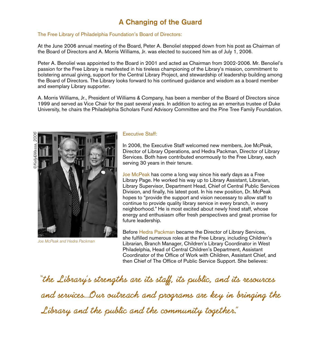# A Changing of the Guard

### The Free Library of Philadelphia Foundation's Board of Directors:

At the June 2006 annual meeting of the Board, Peter A. Benoliel stepped down from his post as Chairman of the Board of Directors and A. Morris Williams, Jr. was elected to succeed him as of July 1, 2006.

Peter A. Benoliel was appointed to the Board in 2001 and acted as Chairman from 2002-2006. Mr. Benoliel's passion for the Free Library is manifested in his tireless championing of the Library's mission, commitment to bolstering annual giving, support for the Central Library Project, and stewardship of leadership building among the Board of Directors. The Library looks forward to his continued guidance and wisdom as a board member and exemplary Library supporter.

A. Morris Williams, Jr., President of Williams & Company, has been a member of the Board of Directors since 1999 and served as Vice Chair for the past several years. In addition to acting as an emeritus trustee of Duke University, he chairs the Philadelphia Scholars Fund Advisory Committee and the Pine Tree Family Foundation.





Joe McPeak and Hedra Packman

### Executive Staff:

In 2006, the Executive Staff welcomed new members, Joe McPeak, Director of Library Operations, and Hedra Packman, Director of Library Services. Both have contributed enormously to the Free Library, each serving 30 years in their tenure.

Joe McPeak has come a long way since his early days as a Free Library Page. He worked his way up to Library Assistant, Librarian, Library Supervisor, Department Head, Chief of Central Public Services Division, and finally, his latest post. In his new position, Dr. McPeak hopes to "provide the support and vision necessary to allow staff to continue to provide quality library service in every branch, in every neighborhood." He is most excited about newly hired staff, whose energy and enthusiasm offer fresh perspectives and great promise for future leadership.

Before Hedra Packman became the Director of Library Services, she fulfilled numerous roles at the Free Library, including Children's Librarian, Branch Manager, Children's Library Coordinator in West Philadelphia, Head of Central Children's Department, Assistant Coordinator of the Office of Work with Children, Assistant Chief, and then Chief of The Office of Public Service Support. She believes:

**"the Library's strengths are its staff, its public, and its resources and services….Our outreach and programs are key in bringing the Library and the public and the community together."**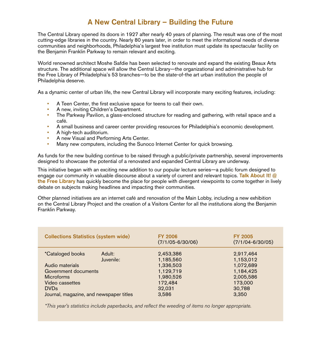# A New Central Library – Building the Future

The Central Library opened its doors in 1927 after nearly 40 years of planning. The result was one of the most cutting-edge libraries in the country. Nearly 80 years later, in order to meet the informational needs of diverse communities and neighborhoods, Philadelphia's largest free institution must update its spectacular facility on the Benjamin Franklin Parkway to remain relevant and exciting.

World renowned architect Moshe Safdie has been selected to renovate and expand the existing Beaux Arts structure. The additional space will allow the Central Library—the organizational and administrative hub for the Free Library of Philadelphia's 53 branches—to be the state-of-the art urban institution the people of Philadelphia deserve.

As a dynamic center of urban life, the new Central Library will incorporate many exciting features, including:

- A Teen Center, the first exclusive space for teens to call their own.
- A new, inviting Children's Department.
- The Parkway Pavilion, a glass-enclosed structure for reading and gathering, with retail space and a café.
- A small business and career center providing resources for Philadelphia's economic development.
- A high-tech auditorium.
- A new Visual and Performing Arts Center.
- Many new computers, including the Sunoco Internet Center for quick browsing.

As funds for the new building continue to be raised through a public/private partnership, several improvements designed to showcase the potential of a renovated and expanded Central Library are underway.

This initiative began with an exciting new addition to our popular lecture series—a public forum designed to engage our community in valuable discourse about a variety of current and relevant topics. Talk About It! @ the Free Library has quickly become the place for people with divergent viewpoints to come together in lively debate on subjects making headlines and impacting their communities.

Other planned initiatives are an internet café and renovation of the Main Lobby, including a new exhibition on the Central Library Project and the creation of a Visitors Center for all the institutions along the Benjamin Franklin Parkway.

| <b>Collections Statistics (system wide)</b> | <b>FY 2006</b><br>$(7/1/05 - 6/30/06)$ | <b>FY 2005</b><br>$(7/1/04 - 6/30/05)$ |  |  |  |
|---------------------------------------------|----------------------------------------|----------------------------------------|--|--|--|
| Adult:<br><i>*Cataloged books</i>           | 2,453,386                              | 2,917,464                              |  |  |  |
| Juvenile:                                   | 1,185,560                              | 1,153,012                              |  |  |  |
| Audio materials                             | 1,336,503                              | 1,072,689                              |  |  |  |
| Government documents                        | 1,129,719                              | 1,184,425                              |  |  |  |
| <b>Microforms</b>                           | 1,980,526                              | 2,005,586                              |  |  |  |
| Video cassettes                             | 172,484                                | 173,000                                |  |  |  |
| <b>DVDs</b>                                 | 32,031                                 | 30,788                                 |  |  |  |
| Journal, magazine, and newspaper titles     | 3.586                                  | 3,350                                  |  |  |  |

\*This year's statistics include paperbacks, and reflect the weeding of items no longer appropriate.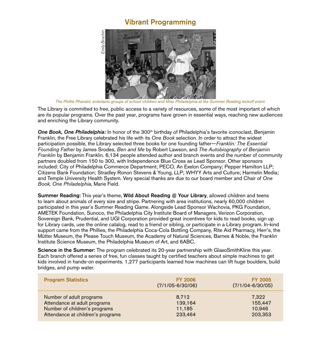### Vibrant Programming



The Library is committed to free, public access to a variety of resources, some of the most important of which are its popular programs. Over the past year, programs have grown in essential ways, reaching new audiences and enriching the Library community.

**One Book, One Philadelphia:** In honor of the 300<sup>th</sup> birthday of Philadelphia's favorite iconoclast, Benjamin Franklin, the Free Library celebrated his life with its *One Book* selection. In order to attract the widest participation possible, the Library selected three books for one founding father—*Franklin: The Essential Founding Father* by James Srodes, *Ben and Me* by Robert Lawson, and *The Autobiography of Benjamin Franklin* by Benjamin Franklin. 6,134 people attended author and branch events and the number of community partners doubled from 150 to 300, with Independence Blue Cross as Lead Sponsor. Other sponsors included: City of Philadelphia Commerce Department; PECO, An Exelon Company; Pepper Hamilton LLP; Citizens Bank Foundation; Stradley Ronon Stevens & Young, LLP; WHYY Arts and Culture; Harmelin Media; and Temple University Health System. Very special thanks are due to our board member and Chair of *One Book, One Philadelphia*, Marie Field.

Summer Reading: This year's theme, Wild About Reading @ Your Library, allowed children and teens to learn about animals of every size and stripe. Partnering with area institutions, nearly 60,000 children participated in this year's Summer Reading Game. Alongside Lead Sponsor Wachovia, PKG Foundation, AMETEK Foundation, Sunoco, the Philadelphia City Institute Board of Managers, Verizon Corporation, Sovereign Bank, Prudential, and UGI Corporation provided great incentives for kids to read books, sign up for Library cards, use the online catalog, read to a friend or sibling, or participate in a Library program. In-kind support came from the Phillies, the Philadelphia Coca-Cola Bottling Company, Rite Aid Pharmacy, Herr's, the Mütter Museum, the Please Touch Museum, the Academy of Natural Sciences, Barnes & Noble, the Franklin Institute Science Museum, the Philadelphia Museum of Art, and 6ABC.

Science in the Summer: The program celebrated its 20-year partnership with GlaxoSmithKline this year. Each branch offered a series of free, fun classes taught by certified teachers about simple machines to get kids involved in hands-on experiments. 1,277 participants learned how machines can lift huge boulders, build bridges, and pump water.

| <b>Program Statistics</b>         | <b>FY 2006</b><br>$(7/1/05 - 6/30/06)$ | <b>FY 2005</b><br>$(7/1/04 - 6/30/05)$ |
|-----------------------------------|----------------------------------------|----------------------------------------|
| Number of adult programs          | 8,712                                  | 7.322                                  |
| Attendance at adult programs      | 139,164                                | 155,447                                |
| Number of children's programs     | 11,185                                 | 10,946                                 |
| Attendance at children's programs | 233,464                                | 203,353                                |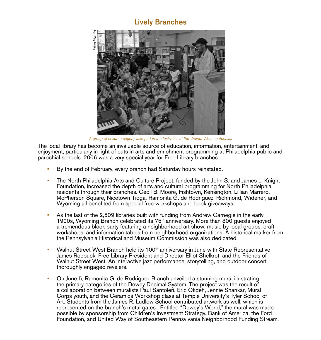## Lively Branches



The local library has become an invaluable source of education, information, entertainment, and enjoyment, particularly in light of cuts in arts and enrichment programming at Philadelphia public and parochial schools. 2006 was a very special year for Free Library branches.

- By the end of February, every branch had Saturday hours reinstated.
- The North Philadelphia Arts and Culture Project, funded by the John S. and James L. Knight Foundation, increased the depth of arts and cultural programming for North Philadelphia residents through their branches. Cecil B. Moore, Fishtown, Kensington, Lillian Marrero, McPherson Square, Nicetown-Tioga, Ramonita G. de Rodriguez, Richmond, Widener, and Wyoming all benefited from special free workshops and book giveaways.
- As the last of the 2,509 libraries built with funding from Andrew Carnegie in the early 1900s, Wyoming Branch celebrated its  $75<sup>th</sup>$  anniversary. More than 800 guests enjoyed a tremendous block party featuring a neighborhood art show, music by local groups, craft workshops, and information tables from neighborhood organizations. A historical marker from the Pennsylvania Historical and Museum Commission was also dedicated.
- Walnut Street West Branch held its 100<sup>th</sup> anniversary in June with State Representative James Roebuck, Free Library President and Director Elliot Shelkrot, and the Friends of Walnut Street West. An interactive jazz performance, storytelling, and outdoor concert thoroughly engaged revelers.
- On June 5, Ramonita G. de Rodriguez Branch unveiled a stunning mural illustrating the primary categories of the Dewey Decimal System. The project was the result of a collaboration between muralists Paul Santoleri, Eric Okdeh, Jennie Shankar, Mural Corps youth, and the Ceramics Workshop class at Temple University's Tyler School of Art. Students from the James R. Ludlow School contributed artwork as well, which is represented on the branch's metal gates. Entitled "Dewey's World," the mural was made possible by sponsorship from Children's Investment Strategy, Bank of America, the Ford Foundation, and United Way of Southeastern Pennsylvania Neighborhood Funding Stream.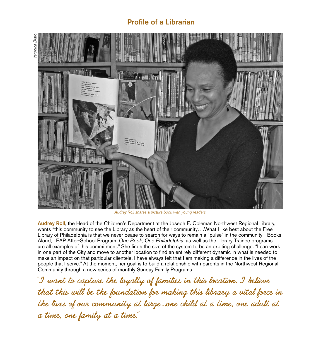# Profile of a Librarian



Audrey Roll shares a picture book with young readers.

Audrey Roll, the Head of the Children's Department at the Joseph E. Coleman Northwest Regional Library, wants "this community to see the Library as the heart of their community….What I like best about the Free Library of Philadelphia is that we never cease to search for ways to remain a "pulse" in the community—Books Aloud, LEAP After-School Program, *One Book, One Philadelphia*, as well as the Library Trainee programs are all examples of this commitment." She finds the size of the system to be an exciting challenge. "I can work in one part of the City and move to another location to find an entirely different dynamic in what is needed to make an impact on that particular clientele. I have always felt that I am making a difference in the lives of the people that I serve." At the moment, her goal is to build a relationship with parents in the Northwest Regional Community through a new series of monthly Sunday Family Programs.

**"I want to capture the loyalty of families in this location. I believe that this will be the foundation for making this library a vital force in the lives of our community at large….one child at a time, one adult at a time, one family at a time."**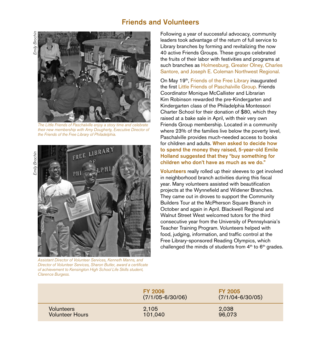### Friends and Volunteers

Emily Brochin Emily Brochii



The Little Friends of Paschalville enjoy a story time and celebrate their new membership with Amy Dougherty, Executive Director of the Friends of the Free Library of Philadelphia.

Emily BrochinEmily Brochin



Assistant Director of Volunteer Services, Kenneth Manns, and Director of Volunteer Services, Sharon Butler, award a certificate of achievement to Kensington High School Life Skills student, Clarence Burgess.

Following a year of successful advocacy, community leaders took advantage of the return of full service to Library branches by forming and revitalizing the now 40 active Friends Groups. These groups celebrated the fruits of their labor with festivities and programs at such branches as Holmesburg, Greater Olney, Charles Santore, and Joseph E. Coleman Northwest Regional.

On May 19<sup>th</sup>, Friends of the Free Library inaugurated the first Little Friends of Paschalville Group. Friends Coordinator Monique McCallister and Librarian Kim Robinson rewarded the pre-Kindergarten and Kindergarten class of the Philadelphia Montessori Charter School for their donation of \$80, which they raised at a bake sale in April, with their very own Friends Group membership. Located in a community where 23% of the families live below the poverty level, Paschalville provides much-needed access to books for children and adults. When asked to decide how to spend the money they raised, 5-year-old Emile Holland suggested that they "buy something for children who don't have as much as we do."

Volunteers really rolled up their sleeves to get involved in neighborhood branch activities during this fiscal year. Many volunteers assisted with beautification projects at the Wynnefield and Widener Branches. They came out in droves to support the Community Builders Tour at the McPherson Square Branch in October and again in April. Blackwell Regional and Walnut Street West welcomed tutors for the third consecutive year from the University of Pennsylvania's Teacher Training Program. Volunteers helped with food, judging, information, and traffic control at the Free Library-sponsored Reading Olympics, which challenged the minds of students from  $4<sup>th</sup>$  to  $6<sup>th</sup>$  grades.

|                        | <b>FY 2006</b><br>$(7/1/05 - 6/30/06)$ | <b>FY 2005</b><br>$(7/1/04 - 6/30/05)$ |
|------------------------|----------------------------------------|----------------------------------------|
| <b>Volunteers</b>      | 2,105                                  | 2,038                                  |
| <b>Volunteer Hours</b> | 101,040                                | 96,073                                 |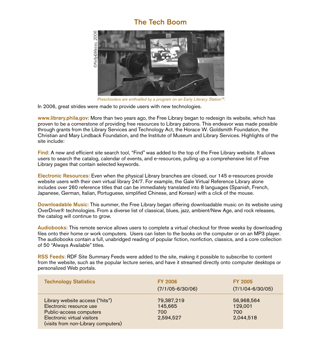### The Tech Boom



*Preschoolers are enthralled by a program on an Early Literacy Station™.*

In 2006, great strides were made to provide users with new technologies.

www.library.phila.gov: More than two years ago, the Free Library began to redesign its website, which has proven to be a cornerstone of providing free resources to Library patrons. This endeavor was made possible through grants from the Library Services and Technology Act, the Horace W. Goldsmith Foundation, the Christian and Mary Lindback Foundation, and the Institute of Museum and Library Services. Highlights of the site include: bersonalized Web portals.<br> **Personalized Web portalized Web portalized Web proven to be a cornerstone**<br>
through grants from the Lib<br>
Christian and Mary Lindbac<br>
site include:<br>
Find: A new and efficient s<br>
users to search t

Find: A new and efficient site search tool, "Find" was added to the top of the Free Library website. It allows users to search the catalog, calendar of events, and e-resources, pulling up a comprehensive list of Free Library pages that contain selected keywords.

Electronic Resources: Even when the physical Library branches are closed, our 145 e-resources provide website users with their own virtual library 24/7. For example, the Gale Virtual Reference Library alone includes over 260 reference titles that can be immediately translated into 8 languages (Spanish, French, Japanese, German, Italian, Portuguese, simplified Chinese, and Korean) with a click of the mouse.

Downloadable Music: This summer, the Free Library began offering downloadable music on its website using OverDrive® technologies. From a diverse list of classical, blues, jazz, ambient/New Age, and rock releases, the catalog will continue to grow.

Audiobooks: This remote service allows users to complete a virtual checkout for three weeks by downloading files onto their home or work computers. Users can listen to the books on the computer or on an MP3 player. The audiobooks contain a full, unabridged reading of popular fiction, nonfiction, classics, and a core collection of 50 "Always Available" titles.

RSS Feeds: RDF Site Summary Feeds were added to the site, making it possible to subscribe to content from the website, such as the popular lecture series, and have it streamed directly onto computer desktops or

| <b>Technology Statistics</b>                                                                                                                                | <b>FY 2006</b><br>$(7/1/05 - 6/30/06)$    | <b>FY 2005</b><br>$(7/1/04 - 6/30/05)$    |
|-------------------------------------------------------------------------------------------------------------------------------------------------------------|-------------------------------------------|-------------------------------------------|
| Library website access ("hits")<br>Electronic resource use<br>Public-access computers<br>Electronic virtual visitors<br>(visits from non-Library computers) | 79,387,219<br>145,665<br>700<br>2,594,527 | 56,968,564<br>129,001<br>700<br>2,044,518 |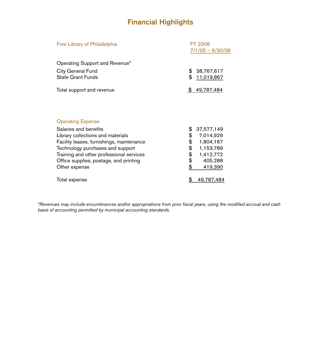# Financial Highlights

| Free Library of Philadelphia              | <b>FY 2006</b>     |  |  |  |  |
|-------------------------------------------|--------------------|--|--|--|--|
|                                           | $7/1/05 - 6/30/06$ |  |  |  |  |
| Operating Support and Revenue*            |                    |  |  |  |  |
| City General Fund                         | \$<br>38,767,617   |  |  |  |  |
| <b>State Grant Funds</b>                  | \$<br>11,019,867   |  |  |  |  |
| Total support and revenue                 | \$.<br>49,787,484  |  |  |  |  |
|                                           |                    |  |  |  |  |
| <b>Operating Expense</b>                  |                    |  |  |  |  |
| Salaries and benefits                     | \$<br>37,577,149   |  |  |  |  |
| Library collections and materials         | 7,014,929          |  |  |  |  |
| Facility leases, furnishings, maintenance | \$\$<br>1,804,167  |  |  |  |  |
| Technology purchases and support          | 1,153,789          |  |  |  |  |
| Training and other professional services  | \$<br>1,412,772    |  |  |  |  |
| Office supplies, postage, and printing    | 405,288            |  |  |  |  |
| Other expense                             | \$<br>419,390      |  |  |  |  |
| Total expense                             | \$<br>49,787,484   |  |  |  |  |

*\*Revenues may include encumbrances and/or appropriations from prior fiscal years, using the modified accrual and cash basis of accounting permitted by municipal accounting standards.*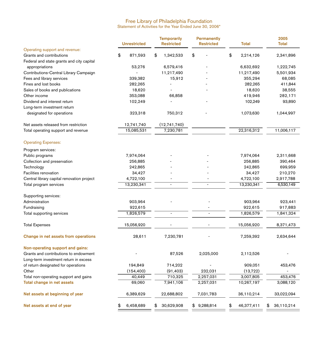#### Free Library of Philadelphia Foundation Statement of Activities for the Year Ended June 30, 2006\*

|                                            | <b>Unrestricted</b> | <b>Temporarily</b><br><b>Restricted</b> |    | <b>Permanently</b><br><b>Restricted</b> |            | <b>Total</b> | 2005<br><b>Total</b> |
|--------------------------------------------|---------------------|-----------------------------------------|----|-----------------------------------------|------------|--------------|----------------------|
| Operating support and revenue:             |                     |                                         |    |                                         |            |              |                      |
| Grants and contributions                   | \$<br>871,593       | \$<br>1,342,533                         | \$ |                                         | \$         | 2,214,126    | 2,341,896            |
| Federal and state grants and city capital  |                     |                                         |    |                                         |            |              |                      |
| appropriations                             | 53,276              | 6,579,416                               |    |                                         |            | 6,632,692    | 1,222,745            |
| Contributions-Central Library Campaign     |                     | 11,217,490                              |    |                                         | 11,217,490 |              | 5,501,934            |
| Fees and library services                  | 339,382             | 15,912                                  |    |                                         |            | 355,294      | 68,085               |
| Fines and lost books                       | 282,265             |                                         |    |                                         |            | 282,265      | 411,844              |
| Sales of books and publications            | 18,620              |                                         |    |                                         |            | 18,620       | 38,555               |
| Other income                               | 353,088             | 66,858                                  |    |                                         |            | 419,946      | 282,171              |
| Dividend and interest return               | 102,249             |                                         |    |                                         |            | 102,249      | 93,890               |
| Long-term investment return                |                     |                                         |    |                                         |            |              |                      |
| designated for operations                  | 323,318             | 750,312                                 |    |                                         |            | 1,073,630    | 1,044,997            |
| Net assets released from restriction       | 12,741,740          | (12,741,740)                            |    |                                         |            |              |                      |
| Total operating support and revenue        | 15,085,531          | 7,230,781                               |    |                                         |            | 22,316,312   | 11,006,117           |
| <b>Operating Expenses:</b>                 |                     |                                         |    |                                         |            |              |                      |
| Program services:                          |                     |                                         |    |                                         |            |              |                      |
| Public programs                            | 7,974,064           |                                         |    |                                         |            | 7,974,064    | 2,311,668            |
| Collection and preservation                | 256,885             |                                         |    |                                         |            | 256,885      | 390,464              |
| Technology                                 | 242,865             |                                         |    |                                         | 242,865    | 699,959      |                      |
| Facilities renovation                      | 34,427              |                                         |    |                                         |            | 34,427       | 210,270              |
| Central library capital renovation project | 4,722,100           |                                         |    |                                         |            | 4,722,100    | 2,917,788            |
| Total program services                     | 13,230,341          | $\overline{\phantom{a}}$                |    | $\overline{a}$                          |            | 13,230,341   | 6,530,149            |
| Supporting services:                       |                     |                                         |    |                                         |            |              |                      |
| Administration                             | 903,964             |                                         |    |                                         |            | 903,964      | 923,441              |
| Fundraising                                | 922,615             |                                         |    |                                         |            | 922,615      | 917,883              |
| Total supporting services                  | 1,826,579           | $\overline{\phantom{a}}$                |    | $\overline{a}$                          |            | 1,826,579    | 1,841,324            |
| <b>Total Expenses</b>                      | 15,056,920          |                                         |    |                                         |            | 15,056,920   | 8,371,473            |
| Change in net assets from operations       | 28,611              | 7,230,781                               |    |                                         |            | 7,259,392    | 2,634,644            |
| Non-operating support and gains:           |                     |                                         |    |                                         |            |              |                      |
| Grants and contributions to endowment      |                     | 87,526                                  |    | 2,025,000                               |            | 2,112,526    |                      |
| Long-term investment return in excess      |                     |                                         |    |                                         |            |              |                      |
| of return designated for operations        | 194,849             | 714,202                                 |    |                                         |            | 909,051      | 453,476              |
| Other                                      | (154, 400)          | (91, 403)                               |    | 232,031                                 |            | (13, 722)    |                      |
| Total non-operating support and gains      | 40,449              | 710,325                                 |    | 2,257,031                               |            | 3,007,805    | 453,476              |
| Total change in net assets                 | 69,060              | 7,941,106                               |    | 2,257,031                               |            | 10,267,197   | 3,088,120            |
| Net assets at beginning of year            | 6,389,629           | 22,688,802                              |    | 7,031,783                               |            | 36,110,214   | 33,022,094           |
| Net assets at end of year                  | \$<br>6,458,689     | \$<br>30,629,908                        |    | \$9,288,814                             | \$         | 46,377,411   | \$<br>36,110,214     |
|                                            |                     |                                         |    |                                         |            |              |                      |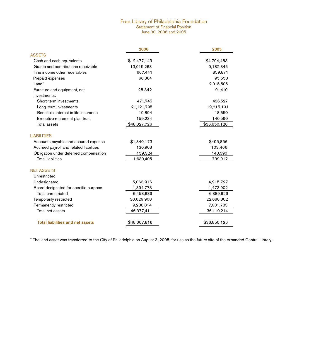#### Free Library of Philadelphia Foundation Statement of Financial Position June 30, 2006 and 2005

|                                         | 2006         | 2005         |
|-----------------------------------------|--------------|--------------|
| <b>ASSETS</b>                           |              |              |
| Cash and cash equivalents               | \$12,477,143 | \$4,794,483  |
| Grants and contributions receivable     | 13,015,268   | 9,182,346    |
| Fine income other receivables           | 667,441      | 859,871      |
| Prepaid expenses                        | 66,864       | 95,553       |
| Land*                                   |              | 2,015,505    |
| Furniture and equipment, net            | 28,342       | 91,410       |
| Investments:                            |              |              |
| Short-term investments                  | 471,745      | 436,527      |
| Long-term investments                   | 21,121,795   | 19,215,191   |
| Beneficial interest in life insurance   | 19,894       | 18,650       |
| Executive retirement plan trust         | 159,234      | 140,590      |
| Total assets                            | \$48,027,726 | \$36,850,126 |
| <b>LIABILITIES</b>                      |              |              |
| Accounts payable and accured expense    | \$1,340,173  | \$495,856    |
| Accrued payroll and related liabilities | 130,908      | 103,466      |
| Obligation under deferred compensation  | 159,324      | 140,590      |
| <b>Total liabilities</b>                | 1,630,405    | 739,912      |
| <b>NET ASSETS</b>                       |              |              |
| Unrestricted                            |              |              |
| Undesignated                            | 5,063,916    | 4,915,727    |
| Board designated for specific purpose   | 1,394,773    | 1,473,902    |
| Total unrestricted                      | 6,458,689    | 6,389,629    |
| Temporarily restricted                  | 30,629,908   | 22,688,802   |
| Permanently restricted                  | 9,288,814    | 7,031,783    |
| Total net assets                        | 46,377,411   | 36,110,214   |
| <b>Total liabilities and net assets</b> | \$48,007,816 | \$36,850,126 |
|                                         |              |              |

\* The land asset was transferred to the City of Philadelphia on August 3, 2005, for use as the future site of the expanded Central Library.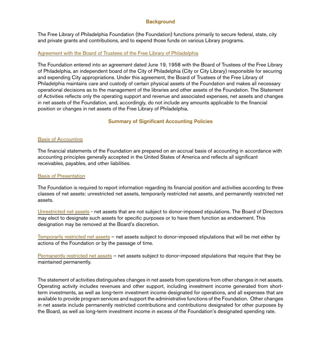### **Background**

The Free Library of Philadelphia Foundation (the Foundation) functions primarily to secure federal, state, city and private grants and contributions, and to expend those funds on various Library programs.

### Agreement with the Board of Trustees of the Free Library of Philadelphia

The Foundation entered into an agreement dated June 19, 1958 with the Board of Trustees of the Free Library of Philadelphia, an independent board of the City of Philadelphia (City or City Library) responsible for securing and expending City appropriations. Under this agreement, the Board of Trustees of the Free Library of Philadelphia maintains care and custody of certain physical assets of the Foundation and makes all necessary operational decisions as to the management of the libraries and other assets of the Foundation. The Statement of Activities reflects only the operating support and revenue and associated expenses, net assets and changes in net assets of the Foundation, and, accordingly, do not include any amounts applicable to the financial position or changes in net assets of the Free Library of Philadelphia.

### Summary of Significant Accounting Policies

### Basis of Accounting

The financial statements of the Foundation are prepared on an accrual basis of accounting in accordance with accounting principles generally accepted in the United States of America and reflects all significant receivables, payables, and other liabilities.

### Basis of Presentation

The Foundation is required to report information regarding its financial position and activities according to three classes of net assets: unrestricted net assets, temporarily restricted net assets, and permanently restricted net assets.

Unrestricted net assets - net assets that are not subject to donor-imposed stipulations. The Board of Directors may elect to designate such assets for specific purposes or to have them function as endowment. This designation may be removed at the Board's discretion.

Temporarily restricted net assets – net assets subject to donor-imposed stipulations that will be met either by actions of the Foundation or by the passage of time.

Permanently restricted net assets – net assets subject to donor-imposed stipulations that require that they be maintained permanently.

The statement of activities distinguishes changes in net assets from operations from other changes in net assets. Operating activity includes revenues and other support, including investment income generated from shortterm investments, as well as long-term investment income designated for operations, and all expenses that are available to provide program services and support the administrative functions of the Foundation. Other changes in net assets include permanently restricted contributions and contributions designated for other purposes by the Board, as well as long-term investment income in excess of the Foundation's designated spending rate.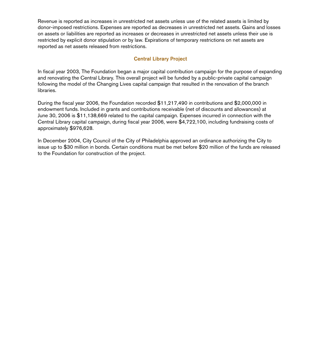Revenue is reported as increases in unrestricted net assets unless use of the related assets is limited by donor-imposed restrictions. Expenses are reported as decreases in unrestricted net assets. Gains and losses on assets or liabilities are reported as increases or decreases in unrestricted net assets unless their use is restricted by explicit donor stipulation or by law. Expirations of temporary restrictions on net assets are reported as net assets released from restrictions.

### Central Library Project

In fiscal year 2003, The Foundation began a major capital contribution campaign for the purpose of expanding and renovating the Central Library. This overall project will be funded by a public-private capital campaign following the model of the Changing Lives capital campaign that resulted in the renovation of the branch libraries.

During the fiscal year 2006, the Foundation recorded \$11,217,490 in contributions and \$2,000,000 in endowment funds. Included in grants and contributions receivable (net of discounts and allowances) at June 30, 2006 is \$11,138,669 related to the capital campaign. Expenses incurred in connection with the Central Library capital campaign, during fiscal year 2006, were \$4,722,100, including fundraising costs of approximately \$976,628.

In December 2004, City Council of the City of Philadelphia approved an ordinance authorizing the City to issue up to \$30 million in bonds. Certain conditions must be met before \$20 million of the funds are released to the Foundation for construction of the project.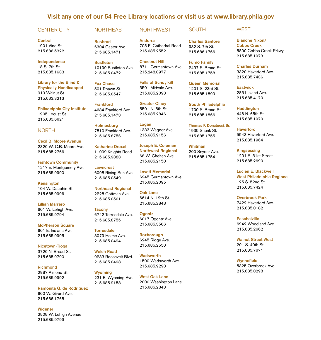### Visit any one of our 54 Free Library locations or visit us at www.library.phila.gov

NORTHWEST

#### CENTER CITY

#### NORTHEAST

**Central** 1901 Vine St. 215.686.5322

Independence 18 S. 7th St. 215.685.1633

Library for the Blind & Physically Handicapped 919 Walnut St. 215.683.3213

Philadelphia City Institute 1905 Locust St. 215.685.6621

#### NORTH

Cecil B. Moore Avenue 2320 W. C.B. Moore Ave. 215.685.2766

Fishtown Community 1217 E. Montgomery Ave. 215.685.9990

Kensington 104 W. Dauphin St. 215.685.9996

Lillian Marrero 601 W. Lehigh Ave. 215.685.9794

McPherson Square 601 E. Indiana Ave. 215.685.9995

Nicetown-Tioga 3720 N. Broad St. 215.685.9790

Richmond 2987 Almond St. 215.685.9992

Ramonita G. de Rodriguez 600 W. Girard Ave. 215.686.1768

Widener 2808 W. Lehigh Avenue 215.685.9799

Bushrod 6304 Castor Ave. 215.685.1471

**Bustleton** 10199 Bustleton Ave. 215.685.0472

Fox Chase 501 Rhawn St. 215.685.0547

Frankford 4634 Frankford Ave. 215.685.1473

Holmesburg 7810 Frankford Ave. 215.685.8756

Katharine Drexel 11099 Knights Road 215.685.9383

Lawncrest 6098 Rising Sun Ave. 215.685.0549

Northeast Regional 2228 Cottman Ave. 215.685.0501

#### **Tacony**

6742 Torresdale Ave. 215.685.8755

**Torresdale** 3079 Holme Ave. 215.685.0494

Welsh Road 9233 Roosevelt Blvd. 215.685.0498

Wyoming 231 E. Wyoming Ave. 215.685.9158

West Oak Lane

Andorra 705 E. Cathedral Road 215.685.2552

Chestnut Hill 8711 Germantown Ave. 215.248.0977

Falls of Schuylkill 3501 Midvale Ave. 215.685.2093

Greater Olney 5501 N. 5th St. 215.685.2846

Logan 1333 Wagner Ave. 215.685.9156

Joseph E. Coleman Northwest Regional 68 W. Chelten Ave. 215.685.2150

Lovett Memorial 6945 Germantown Ave. 215.685.2095

Oak Lane 6614 N. 12th St. 215.685.2848

**Ogontz** 6017 Ogontz Ave. 215.685.3566

Roxborough 6245 Ridge Ave. 215.685.2550

Wadsworth 1500 Wadsworth Ave. 215.685.9293

2000 Washington Lane 215.685.2843

Charles Santore 932 S. 7th St. 215.686.1766

Fumo Family 2437 S. Broad St. 215.685.1758

Queen Memorial 1201 S. 23rd St. 215.685.1899

South Philadelphia 1700 S. Broad St. 215.685.1866

Thomas F. Donatucci, Sr. 1935 Shunk St. 215.685.1755

Whitman 200 Snyder Ave. 215.685.1754

Cobbs Creek 5800 Cobbs Creek Prkwy. 215.685.1973

#### Charles Durham

Blanche Nixon/

3320 Haverford Ave. 215.685.7436

**Eastwick** 

**WEST** 

2851 Island Ave. 215.685.4170

**Haddington** 

446 N. 65th St. 215.685.1970

Haverford 5543 Haverford Ave. 215.685.1964

Kingsessing 1201 S. 51st Street 215.685.2690

Lucien E. Blackwell West Philadelphia Regional 125 S. 52nd St. 215.685.7424

Overbrook Park 7422 Haverford Ave. 215.685.0182

**Paschalville** 6942 Woodland Ave. 215.685.2662

Walnut Street West 201 S. 40th St. 215.685.7671

**Wynnefield** 5325 Overbrook Ave. 215.685.0298

### **SOUTH**